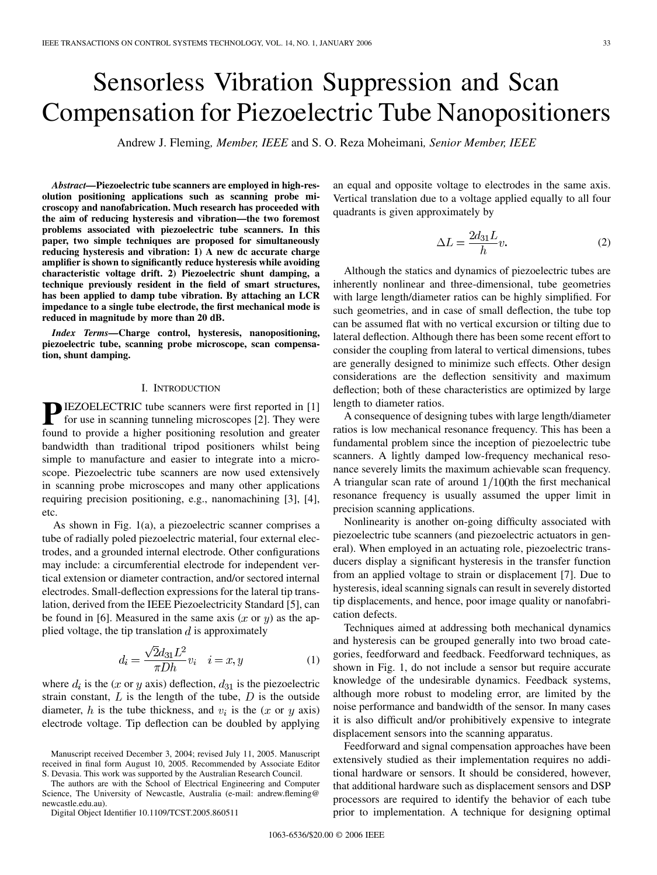# Sensorless Vibration Suppression and Scan Compensation for Piezoelectric Tube Nanopositioners

Andrew J. Fleming*, Member, IEEE* and S. O. Reza Moheimani*, Senior Member, IEEE*

*Abstract—***Piezoelectric tube scanners are employed in high-resolution positioning applications such as scanning probe microscopy and nanofabrication. Much research has proceeded with the aim of reducing hysteresis and vibration—the two foremost problems associated with piezoelectric tube scanners. In this paper, two simple techniques are proposed for simultaneously reducing hysteresis and vibration: 1) A new dc accurate charge amplifier is shown to significantly reduce hysteresis while avoiding characteristic voltage drift. 2) Piezoelectric shunt damping, a technique previously resident in the field of smart structures, has been applied to damp tube vibration. By attaching an LCR impedance to a single tube electrode, the first mechanical mode is reduced in magnitude by more than 20 dB.**

*Index Terms—***Charge control, hysteresis, nanopositioning, piezoelectric tube, scanning probe microscope, scan compensation, shunt damping.**

## I. INTRODUCTION

**P**IEZOELECTRIC tube scanners were first reported in [[1\]](#page-10-0) for use in scanning tunneling microscopes [\[2](#page-10-0)]. They were found to provide a higher positioning resolution and greater bandwidth than traditional tripod positioners whilst being simple to manufacture and easier to integrate into a microscope. Piezoelectric tube scanners are now used extensively in scanning probe microscopes and many other applications requiring precision positioning, e.g., nanomachining [\[3](#page-10-0)], [\[4](#page-10-0)], etc.

As shown in Fig. 1(a), a piezoelectric scanner comprises a tube of radially poled piezoelectric material, four external electrodes, and a grounded internal electrode. Other configurations may include: a circumferential electrode for independent vertical extension or diameter contraction, and/or sectored internal electrodes. Small-deflection expressions for the lateral tip translation, derived from the IEEE Piezoelectricity Standard [\[5](#page-10-0)], can be found in [[6\]](#page-10-0). Measured in the same axis  $(x \text{ or } y)$  as the applied voltage, the tip translation  $d$  is approximately

$$
d_i = \frac{\sqrt{2}d_{31}L^2}{\pi Dh}v_i \quad i = x, y \tag{1}
$$

where  $d_i$  is the (x or y axis) deflection,  $d_{31}$  is the piezoelectric strain constant,  $L$  is the length of the tube,  $D$  is the outside diameter, h is the tube thickness, and  $v_i$  is the (x or y axis) electrode voltage. Tip deflection can be doubled by applying

The authors are with the School of Electrical Engineering and Computer Science, The University of Newcastle, Australia (e-mail: andrew.fleming@ newcastle.edu.au).

Digital Object Identifier 10.1109/TCST.2005.860511

an equal and opposite voltage to electrodes in the same axis. Vertical translation due to a voltage applied equally to all four quadrants is given approximately by

$$
\Delta L = \frac{2d_{31}L}{h}v.\tag{2}
$$

Although the statics and dynamics of piezoelectric tubes are inherently nonlinear and three-dimensional, tube geometries with large length/diameter ratios can be highly simplified. For such geometries, and in case of small deflection, the tube top can be assumed flat with no vertical excursion or tilting due to lateral deflection. Although there has been some recent effort to consider the coupling from lateral to vertical dimensions, tubes are generally designed to minimize such effects. Other design considerations are the deflection sensitivity and maximum deflection; both of these characteristics are optimized by large length to diameter ratios.

A consequence of designing tubes with large length/diameter ratios is low mechanical resonance frequency. This has been a fundamental problem since the inception of piezoelectric tube scanners. A lightly damped low-frequency mechanical resonance severely limits the maximum achievable scan frequency. A triangular scan rate of around  $1/100$ th the first mechanical resonance frequency is usually assumed the upper limit in precision scanning applications.

Nonlinearity is another on-going difficulty associated with piezoelectric tube scanners (and piezoelectric actuators in general). When employed in an actuating role, piezoelectric transducers display a significant hysteresis in the transfer function from an applied voltage to strain or displacement [\[7](#page-10-0)]. Due to hysteresis, ideal scanning signals can result in severely distorted tip displacements, and hence, poor image quality or nanofabrication defects.

Techniques aimed at addressing both mechanical dynamics and hysteresis can be grouped generally into two broad categories, feedforward and feedback. Feedforward techniques, as shown in Fig. 1, do not include a sensor but require accurate knowledge of the undesirable dynamics. Feedback systems, although more robust to modeling error, are limited by the noise performance and bandwidth of the sensor. In many cases it is also difficult and/or prohibitively expensive to integrate displacement sensors into the scanning apparatus.

Feedforward and signal compensation approaches have been extensively studied as their implementation requires no additional hardware or sensors. It should be considered, however, that additional hardware such as displacement sensors and DSP processors are required to identify the behavior of each tube prior to implementation. A technique for designing optimal

Manuscript received December 3, 2004; revised July 11, 2005. Manuscript received in final form August 10, 2005. Recommended by Associate Editor S. Devasia. This work was supported by the Australian Research Council.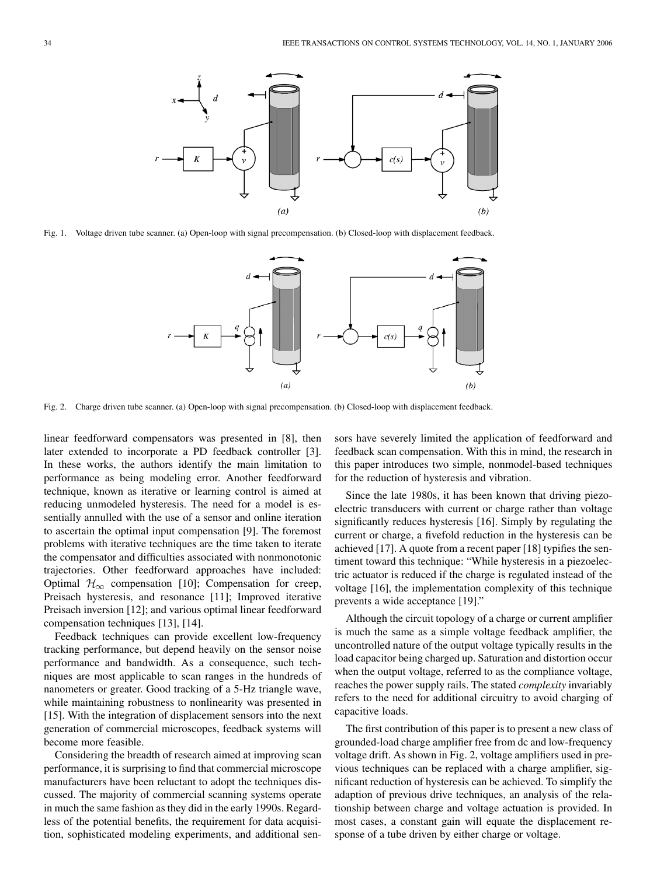

Fig. 1. Voltage driven tube scanner. (a) Open-loop with signal precompensation. (b) Closed-loop with displacement feedback.



Fig. 2. Charge driven tube scanner. (a) Open-loop with signal precompensation. (b) Closed-loop with displacement feedback.

linear feedforward compensators was presented in [\[8](#page-10-0)], then later extended to incorporate a PD feedback controller [[3\]](#page-10-0). In these works, the authors identify the main limitation to performance as being modeling error. Another feedforward technique, known as iterative or learning control is aimed at reducing unmodeled hysteresis. The need for a model is essentially annulled with the use of a sensor and online iteration to ascertain the optimal input compensation [[9\]](#page-10-0). The foremost problems with iterative techniques are the time taken to iterate the compensator and difficulties associated with nonmonotonic trajectories. Other feedforward approaches have included: Optimal  $\mathcal{H}_{\infty}$  compensation [[10\]](#page-10-0); Compensation for creep, Preisach hysteresis, and resonance [[11](#page-10-0)]; Improved iterative Preisach inversion [[12\]](#page-10-0); and various optimal linear feedforward compensation techniques [\[13](#page-10-0)], [\[14](#page-10-0)].

Feedback techniques can provide excellent low-frequency tracking performance, but depend heavily on the sensor noise performance and bandwidth. As a consequence, such techniques are most applicable to scan ranges in the hundreds of nanometers or greater. Good tracking of a 5-Hz triangle wave, while maintaining robustness to nonlinearity was presented in [[15\]](#page-10-0). With the integration of displacement sensors into the next generation of commercial microscopes, feedback systems will become more feasible.

Considering the breadth of research aimed at improving scan performance, it is surprising to find that commercial microscope manufacturers have been reluctant to adopt the techniques discussed. The majority of commercial scanning systems operate in much the same fashion as they did in the early 1990s. Regardless of the potential benefits, the requirement for data acquisition, sophisticated modeling experiments, and additional sensors have severely limited the application of feedforward and feedback scan compensation. With this in mind, the research in this paper introduces two simple, nonmodel-based techniques for the reduction of hysteresis and vibration.

Since the late 1980s, it has been known that driving piezoelectric transducers with current or charge rather than voltage significantly reduces hysteresis [\[16](#page-10-0)]. Simply by regulating the current or charge, a fivefold reduction in the hysteresis can be achieved [\[17\]](#page-10-0). A quote from a recent paper [\[18](#page-11-0)] typifies the sentiment toward this technique: "While hysteresis in a piezoelectric actuator is reduced if the charge is regulated instead of the voltage [\[16](#page-10-0)], the implementation complexity of this technique prevents a wide acceptance [[19\]](#page-11-0)."

Although the circuit topology of a charge or current amplifier is much the same as a simple voltage feedback amplifier, the uncontrolled nature of the output voltage typically results in the load capacitor being charged up. Saturation and distortion occur when the output voltage, referred to as the compliance voltage, reaches the power supply rails. The stated *complexity* invariably refers to the need for additional circuitry to avoid charging of capacitive loads.

The first contribution of this paper is to present a new class of grounded-load charge amplifier free from dc and low-frequency voltage drift. As shown in Fig. 2, voltage amplifiers used in previous techniques can be replaced with a charge amplifier, significant reduction of hysteresis can be achieved. To simplify the adaption of previous drive techniques, an analysis of the relationship between charge and voltage actuation is provided. In most cases, a constant gain will equate the displacement response of a tube driven by either charge or voltage.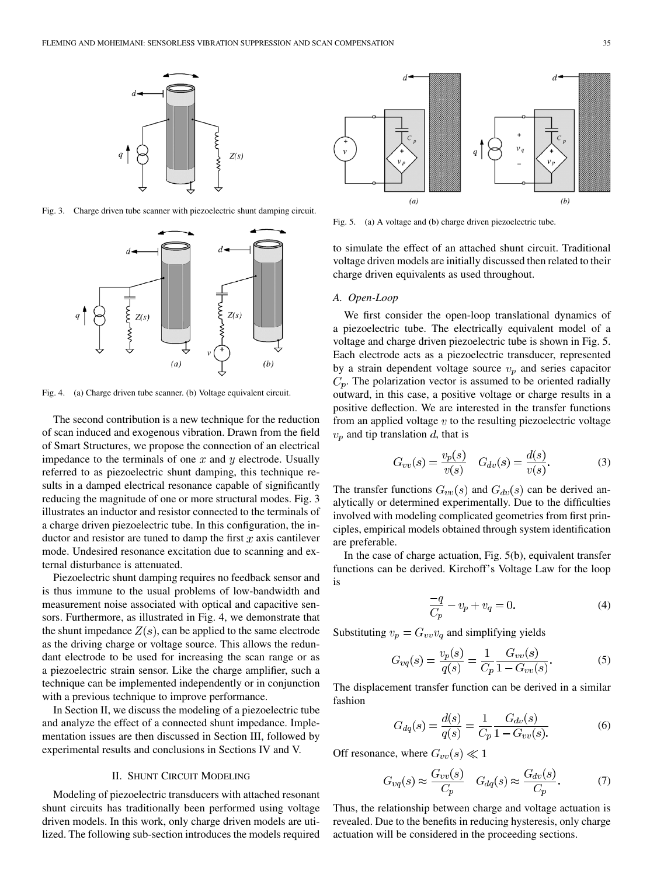

Fig. 3. Charge driven tube scanner with piezoelectric shunt damping circuit.



Fig. 4. (a) Charge driven tube scanner. (b) Voltage equivalent circuit.

The second contribution is a new technique for the reduction of scan induced and exogenous vibration. Drawn from the field of Smart Structures, we propose the connection of an electrical impedance to the terminals of one  $x$  and  $y$  electrode. Usually referred to as piezoelectric shunt damping, this technique results in a damped electrical resonance capable of significantly reducing the magnitude of one or more structural modes. Fig. 3 illustrates an inductor and resistor connected to the terminals of a charge driven piezoelectric tube. In this configuration, the inductor and resistor are tuned to damp the first  $x$  axis cantilever mode. Undesired resonance excitation due to scanning and external disturbance is attenuated.

Piezoelectric shunt damping requires no feedback sensor and is thus immune to the usual problems of low-bandwidth and measurement noise associated with optical and capacitive sensors. Furthermore, as illustrated in Fig. 4, we demonstrate that the shunt impedance  $Z(s)$ , can be applied to the same electrode as the driving charge or voltage source. This allows the redundant electrode to be used for increasing the scan range or as a piezoelectric strain sensor. Like the charge amplifier, such a technique can be implemented independently or in conjunction with a previous technique to improve performance.

In Section II, we discuss the modeling of a piezoelectric tube and analyze the effect of a connected shunt impedance. Implementation issues are then discussed in Section III, followed by experimental results and conclusions in Sections IV and V.

#### II. SHUNT CIRCUIT MODELING

Modeling of piezoelectric transducers with attached resonant shunt circuits has traditionally been performed using voltage driven models. In this work, only charge driven models are utilized. The following sub-section introduces the models required



Fig. 5. (a) A voltage and (b) charge driven piezoelectric tube.

to simulate the effect of an attached shunt circuit. Traditional voltage driven models are initially discussed then related to their charge driven equivalents as used throughout.

# *A. Open-Loop*

We first consider the open-loop translational dynamics of a piezoelectric tube. The electrically equivalent model of a voltage and charge driven piezoelectric tube is shown in Fig. 5. Each electrode acts as a piezoelectric transducer, represented by a strain dependent voltage source  $v_p$  and series capacitor  $C_p$ . The polarization vector is assumed to be oriented radially outward, in this case, a positive voltage or charge results in a positive deflection. We are interested in the transfer functions from an applied voltage  $v$  to the resulting piezoelectric voltage  $v_p$  and tip translation d, that is

$$
G_{vv}(s) = \frac{v_p(s)}{v(s)} \quad G_{dv}(s) = \frac{d(s)}{v(s)}.
$$
 (3)

The transfer functions  $G_{vv}(s)$  and  $G_{dv}(s)$  can be derived analytically or determined experimentally. Due to the difficulties involved with modeling complicated geometries from first principles, empirical models obtained through system identification are preferable.

In the case of charge actuation, Fig. 5(b), equivalent transfer functions can be derived. Kirchoff's Voltage Law for the loop is

$$
\frac{-q}{C_p} - v_p + v_q = 0.\t\t(4)
$$

Substituting  $v_p = G_{vv}v_q$  and simplifying yields

$$
G_{vq}(s) = \frac{v_p(s)}{q(s)} = \frac{1}{C_p} \frac{G_{vv}(s)}{1 - G_{vv}(s)}.
$$
 (5)

The displacement transfer function can be derived in a similar fashion

$$
G_{dq}(s) = \frac{d(s)}{q(s)} = \frac{1}{C_p} \frac{G_{dv}(s)}{1 - G_{vv}(s)}.
$$
 (6)

Off resonance, where  $G_{vv}(s) \ll 1$ 

$$
G_{vq}(s) \approx \frac{G_{vv}(s)}{C_p} \quad G_{dq}(s) \approx \frac{G_{dv}(s)}{C_p}.
$$
 (7)

Thus, the relationship between charge and voltage actuation is revealed. Due to the benefits in reducing hysteresis, only charge actuation will be considered in the proceeding sections.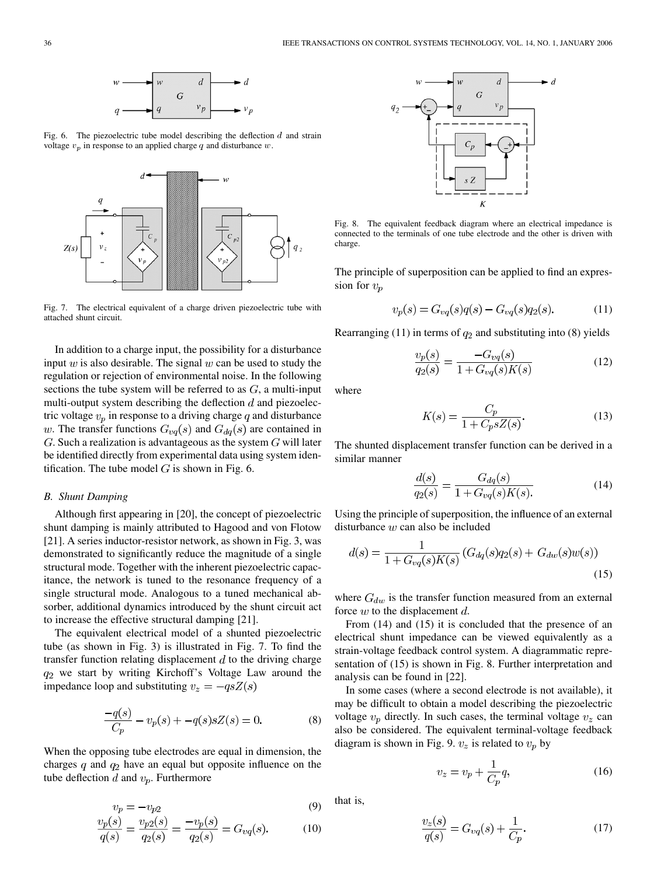

Fig. 6. The piezoelectric tube model describing the deflection  $d$  and strain voltage  $v_p$  in response to an applied charge q and disturbance w.



Fig. 7. The electrical equivalent of a charge driven piezoelectric tube with attached shunt circuit.

In addition to a charge input, the possibility for a disturbance input  $w$  is also desirable. The signal  $w$  can be used to study the regulation or rejection of environmental noise. In the following sections the tube system will be referred to as  $G$ , a multi-input multi-output system describing the deflection  $d$  and piezoelectric voltage  $v_p$  in response to a driving charge q and disturbance w. The transfer functions  $G_{vq}(s)$  and  $G_{dq}(s)$  are contained in  $G$ . Such a realization is advantageous as the system  $G$  will later be identified directly from experimental data using system identification. The tube model  $G$  is shown in Fig. 6.

### *B. Shunt Damping*

Although first appearing in [[20\]](#page-11-0), the concept of piezoelectric shunt damping is mainly attributed to Hagood and von Flotow [[21\]](#page-11-0). A series inductor-resistor network, as shown in Fig. 3, was demonstrated to significantly reduce the magnitude of a single structural mode. Together with the inherent piezoelectric capacitance, the network is tuned to the resonance frequency of a single structural mode. Analogous to a tuned mechanical absorber, additional dynamics introduced by the shunt circuit act to increase the effective structural damping [[21\]](#page-11-0).

The equivalent electrical model of a shunted piezoelectric tube (as shown in Fig. 3) is illustrated in Fig. 7. To find the transfer function relating displacement  $d$  to the driving charge  $q_2$  we start by writing Kirchoff's Voltage Law around the impedance loop and substituting  $v_z = -qsZ(s)$ 

$$
\frac{-q(s)}{C_p} - v_p(s) + -q(s)sZ(s) = 0.
$$
 (8)

When the opposing tube electrodes are equal in dimension, the charges  $q$  and  $q_2$  have an equal but opposite influence on the tube deflection  $d$  and  $v_p$ . Furthermore

$$
v_p = -v_{p2} \tag{9}
$$

$$
\frac{v_p(s)}{q(s)} = \frac{v_{p2}(s)}{q_2(s)} = \frac{-v_p(s)}{q_2(s)} = G_{vq}(s).
$$
 (10)



Fig. 8. The equivalent feedback diagram where an electrical impedance is connected to the terminals of one tube electrode and the other is driven with charge.

The principle of superposition can be applied to find an expression for  $v_p$ 

$$
v_p(s) = G_{vq}(s)q(s) - G_{vq}(s)q_2(s).
$$
 (11)

Rearranging (11) in terms of  $q_2$  and substituting into (8) yields

$$
\frac{v_p(s)}{q_2(s)} = \frac{-G_{vq}(s)}{1 + G_{vq}(s)K(s)}\tag{12}
$$

where

$$
K(s) = \frac{C_p}{1 + C_p s Z(s)}.\tag{13}
$$

The shunted displacement transfer function can be derived in a similar manner

$$
\frac{d(s)}{q_2(s)} = \frac{G_{dq}(s)}{1 + G_{vq}(s)K(s)}.
$$
\n(14)

Using the principle of superposition, the influence of an external disturbance  $w$  can also be included

$$
d(s) = \frac{1}{1 + G_{vq}(s)K(s)} \left( G_{dq}(s)q_2(s) + G_{dw}(s)w(s) \right)
$$
\n(15)

where  $G_{dw}$  is the transfer function measured from an external force  $w$  to the displacement  $d$ .

From (14) and (15) it is concluded that the presence of an electrical shunt impedance can be viewed equivalently as a strain-voltage feedback control system. A diagrammatic representation of (15) is shown in Fig. 8. Further interpretation and analysis can be found in [\[22](#page-11-0)].

In some cases (where a second electrode is not available), it may be difficult to obtain a model describing the piezoelectric voltage  $v_p$  directly. In such cases, the terminal voltage  $v_z$  can also be considered. The equivalent terminal-voltage feedback diagram is shown in Fig. 9.  $v_z$  is related to  $v_p$  by

$$
v_z = v_p + \frac{1}{C_p}q,\tag{16}
$$

that is,

$$
\frac{v_z(s)}{q(s)} = G_{vq}(s) + \frac{1}{C_p}.\tag{17}
$$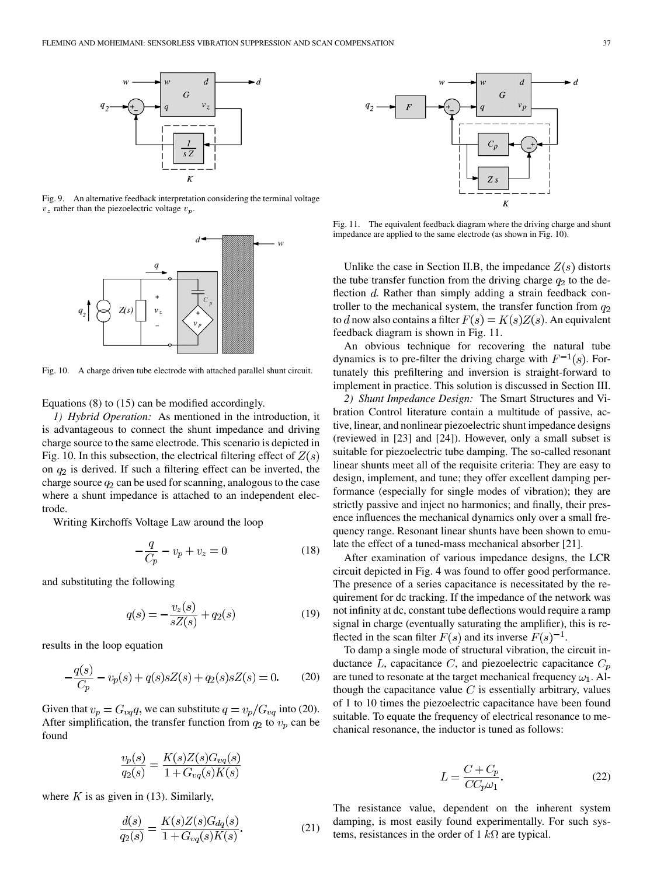

Fig. 9. An alternative feedback interpretation considering the terminal voltage  $v_z$  rather than the piezoelectric voltage  $v_p$ .



Fig. 10. A charge driven tube electrode with attached parallel shunt circuit.

Equations (8) to (15) can be modified accordingly.

*1) Hybrid Operation:* As mentioned in the introduction, it is advantageous to connect the shunt impedance and driving charge source to the same electrode. This scenario is depicted in Fig. 10. In this subsection, the electrical filtering effect of  $Z(s)$ on  $q_2$  is derived. If such a filtering effect can be inverted, the charge source  $q_2$  can be used for scanning, analogous to the case where a shunt impedance is attached to an independent electrode.

Writing Kirchoffs Voltage Law around the loop

$$
-\frac{q}{C_p} - v_p + v_z = 0\tag{18}
$$

and substituting the following

$$
q(s) = -\frac{v_z(s)}{sZ(s)} + q_2(s)
$$
 (19)

results in the loop equation

$$
-\frac{q(s)}{C_p} - v_p(s) + q(s)sZ(s) + q_2(s)sZ(s) = 0.
$$
 (20)

Given that  $v_p = G_{vq}q$ , we can substitute  $q = v_p/G_{vq}$  into (20). After simplification, the transfer function from  $q_2$  to  $v_p$  can be found

$$
\frac{v_p(s)}{q_2(s)} = \frac{K(s)Z(s)G_{vq}(s)}{1 + G_{vq}(s)K(s)}
$$

where  $K$  is as given in (13). Similarly,

$$
\frac{d(s)}{q_2(s)} = \frac{K(s)Z(s)G_{dq}(s)}{1 + G_{vq}(s)K(s)}.
$$
\n(21)



Fig. 11. The equivalent feedback diagram where the driving charge and shunt impedance are applied to the same electrode (as shown in Fig. 10).

Unlike the case in Section II.B, the impedance  $Z(s)$  distorts the tube transfer function from the driving charge  $q_2$  to the deflection  $d$ . Rather than simply adding a strain feedback controller to the mechanical system, the transfer function from  $q_2$ to d now also contains a filter  $F(s) = K(s)Z(s)$ . An equivalent feedback diagram is shown in Fig. 11.

An obvious technique for recovering the natural tube dynamics is to pre-filter the driving charge with  $F^{-1}(s)$ . Fortunately this prefiltering and inversion is straight-forward to implement in practice. This solution is discussed in Section III.

*2) Shunt Impedance Design:* The Smart Structures and Vibration Control literature contain a multitude of passive, active, linear, and nonlinear piezoelectric shunt impedance designs (reviewed in [[23\]](#page-11-0) and [\[24](#page-11-0)]). However, only a small subset is suitable for piezoelectric tube damping. The so-called resonant linear shunts meet all of the requisite criteria: They are easy to design, implement, and tune; they offer excellent damping performance (especially for single modes of vibration); they are strictly passive and inject no harmonics; and finally, their presence influences the mechanical dynamics only over a small frequency range. Resonant linear shunts have been shown to emulate the effect of a tuned-mass mechanical absorber [[21\]](#page-11-0).

After examination of various impedance designs, the LCR circuit depicted in Fig. 4 was found to offer good performance. The presence of a series capacitance is necessitated by the requirement for dc tracking. If the impedance of the network was not infinity at dc, constant tube deflections would require a ramp signal in charge (eventually saturating the amplifier), this is reflected in the scan filter  $F(s)$  and its inverse  $F(s)^{-1}$ .

To damp a single mode of structural vibration, the circuit inductance  $L$ , capacitance  $C$ , and piezoelectric capacitance  $C_p$ are tuned to resonate at the target mechanical frequency  $\omega_1$ . Although the capacitance value  $C$  is essentially arbitrary, values of 1 to 10 times the piezoelectric capacitance have been found suitable. To equate the frequency of electrical resonance to mechanical resonance, the inductor is tuned as follows:

$$
L = \frac{C + C_p}{CC_p \omega_1}.
$$
 (22)

The resistance value, dependent on the inherent system damping, is most easily found experimentally. For such systems, resistances in the order of 1  $k\Omega$  are typical.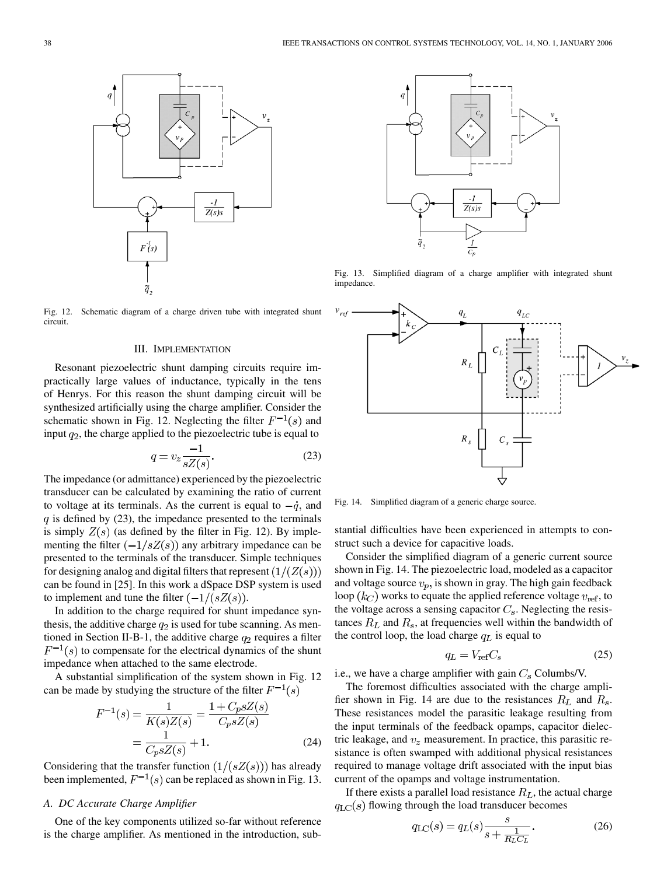

Fig. 12. Schematic diagram of a charge driven tube with integrated shunt circuit.

#### III. IMPLEMENTATION

Resonant piezoelectric shunt damping circuits require impractically large values of inductance, typically in the tens of Henrys. For this reason the shunt damping circuit will be synthesized artificially using the charge amplifier. Consider the schematic shown in Fig. 12. Neglecting the filter  $F^{-1}(s)$  and input  $q_2$ , the charge applied to the piezoelectric tube is equal to

$$
q = v_z \frac{-1}{sZ(s)}.\tag{23}
$$

The impedance (or admittance) experienced by the piezoelectric transducer can be calculated by examining the ratio of current to voltage at its terminals. As the current is equal to  $-\dot{q}$ , and  $q$  is defined by (23), the impedance presented to the terminals is simply  $Z(s)$  (as defined by the filter in Fig. 12). By implementing the filter  $\left(\frac{-1}{sZ(s)}\right)$  any arbitrary impedance can be presented to the terminals of the transducer. Simple techniques for designing analog and digital filters that represent  $(1/(Z(s)))$ can be found in [[25\]](#page-11-0). In this work a dSpace DSP system is used to implement and tune the filter  $\left(-\frac{1}{sZ(s)}\right)$ .

In addition to the charge required for shunt impedance synthesis, the additive charge  $q_2$  is used for tube scanning. As mentioned in Section II-B-1, the additive charge  $q_2$  requires a filter  $F^{-1}(s)$  to compensate for the electrical dynamics of the shunt impedance when attached to the same electrode.

A substantial simplification of the system shown in Fig. 12 can be made by studying the structure of the filter  $F^{-1}(s)$ 

$$
F^{-1}(s) = \frac{1}{K(s)Z(s)} = \frac{1 + C_p s Z(s)}{C_p s Z(s)}
$$

$$
= \frac{1}{C_p s Z(s)} + 1.
$$
 (24)

Considering that the transfer function  $(1/(sZ(s)))$  has already been implemented,  $F^{-1}(s)$  can be replaced as shown in Fig. 13.

# *A. DC Accurate Charge Amplifier*

One of the key components utilized so-far without reference is the charge amplifier. As mentioned in the introduction, sub-



Fig. 13. Simplified diagram of a charge amplifier with integrated shunt impedance.



Fig. 14. Simplified diagram of a generic charge source.

stantial difficulties have been experienced in attempts to construct such a device for capacitive loads.

Consider the simplified diagram of a generic current source shown in Fig. 14. The piezoelectric load, modeled as a capacitor and voltage source  $v_p$ , is shown in gray. The high gain feedback loop  $(k_C)$  works to equate the applied reference voltage  $v_{ref}$ , to the voltage across a sensing capacitor  $C_s$ . Neglecting the resistances  $R_L$  and  $R_s$ , at frequencies well within the bandwidth of the control loop, the load charge  $q_L$  is equal to

$$
q_L = V_{\text{ref}} C_s \tag{25}
$$

i.e., we have a charge amplifier with gain  $C_s$  Columbs/V.

The foremost difficulties associated with the charge amplifier shown in Fig. 14 are due to the resistances  $R_L$  and  $R_s$ . These resistances model the parasitic leakage resulting from the input terminals of the feedback opamps, capacitor dielectric leakage, and  $v<sub>z</sub>$  measurement. In practice, this parasitic resistance is often swamped with additional physical resistances required to manage voltage drift associated with the input bias current of the opamps and voltage instrumentation.

If there exists a parallel load resistance  $R_L$ , the actual charge  $q_{\text{LC}}(s)$  flowing through the load transducer becomes

$$
q_{\rm LC}(s) = q_L(s) \frac{s}{s + \frac{1}{R_L C_L}}.\tag{26}
$$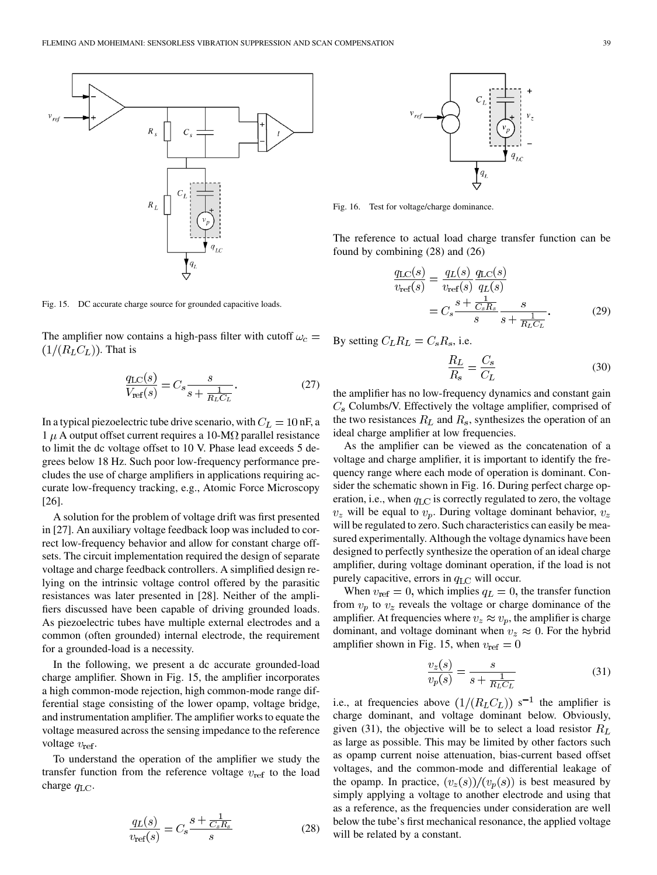

Fig. 15. DC accurate charge source for grounded capacitive loads.

The amplifier now contains a high-pass filter with cutoff  $\omega_c =$  $(1/(R_L C_L))$ . That is

$$
\frac{q_{\rm LC}(s)}{V_{\rm ref}(s)} = C_s \frac{s}{s + \frac{1}{R_L C_L}}.\tag{27}
$$

In a typical piezoelectric tube drive scenario, with  $C_L = 10$  nF, a 1  $\mu$  A output offset current requires a 10-M $\Omega$  parallel resistance to limit the dc voltage offset to 10 V. Phase lead exceeds 5 degrees below 18 Hz. Such poor low-frequency performance precludes the use of charge amplifiers in applications requiring accurate low-frequency tracking, e.g., Atomic Force Microscopy [\[26](#page-11-0)].

A solution for the problem of voltage drift was first presented in [\[27](#page-11-0)]. An auxiliary voltage feedback loop was included to correct low-frequency behavior and allow for constant charge offsets. The circuit implementation required the design of separate voltage and charge feedback controllers. A simplified design relying on the intrinsic voltage control offered by the parasitic resistances was later presented in [\[28](#page-11-0)]. Neither of the amplifiers discussed have been capable of driving grounded loads. As piezoelectric tubes have multiple external electrodes and a common (often grounded) internal electrode, the requirement for a grounded-load is a necessity.

In the following, we present a dc accurate grounded-load charge amplifier. Shown in Fig. 15, the amplifier incorporates a high common-mode rejection, high common-mode range differential stage consisting of the lower opamp, voltage bridge, and instrumentation amplifier. The amplifier works to equate the voltage measured across the sensing impedance to the reference voltage  $v_{\text{ref}}$ .

To understand the operation of the amplifier we study the transfer function from the reference voltage  $v_{ref}$  to the load charge  $q_{\rm LC}$ .

$$
\frac{q_L(s)}{v_{\text{ref}}(s)} = C_s \frac{s + \frac{1}{C_s R_s}}{s} \tag{28}
$$



Fig. 16. Test for voltage/charge dominance.

The reference to actual load charge transfer function can be found by combining (28) and (26)

$$
\frac{q_{\rm LC}(s)}{v_{\rm ref}(s)} = \frac{q_L(s)}{v_{\rm ref}(s)} \frac{q_{\rm LC}(s)}{q_L(s)}
$$
\n
$$
= C_s \frac{s + \frac{1}{C_s R_s}}{s} \frac{s}{s + \frac{1}{R_L C_L}}.
$$
\n(29)

By setting  $C_L R_L = C_s R_s$ , i.e.

$$
\frac{R_L}{R_s} = \frac{C_s}{C_L} \tag{30}
$$

the amplifier has no low-frequency dynamics and constant gain  $C_s$  Columbs/V. Effectively the voltage amplifier, comprised of the two resistances  $R_L$  and  $R_s$ , synthesizes the operation of an ideal charge amplifier at low frequencies.

As the amplifier can be viewed as the concatenation of a voltage and charge amplifier, it is important to identify the frequency range where each mode of operation is dominant. Consider the schematic shown in Fig. 16. During perfect charge operation, i.e., when  $q_{\rm LC}$  is correctly regulated to zero, the voltage  $v_z$  will be equal to  $v_p$ . During voltage dominant behavior,  $v_z$ will be regulated to zero. Such characteristics can easily be measured experimentally. Although the voltage dynamics have been designed to perfectly synthesize the operation of an ideal charge amplifier, during voltage dominant operation, if the load is not purely capacitive, errors in  $q_{\text{LC}}$  will occur.

When  $v_{ref} = 0$ , which implies  $q_L = 0$ , the transfer function from  $v_p$  to  $v_z$  reveals the voltage or charge dominance of the amplifier. At frequencies where  $v_z \approx v_p$ , the amplifier is charge dominant, and voltage dominant when  $v_z \approx 0$ . For the hybrid amplifier shown in Fig. 15, when  $v_{ref} = 0$ 

$$
\frac{v_z(s)}{v_p(s)} = \frac{s}{s + \frac{1}{R_L C_L}}\tag{31}
$$

i.e., at frequencies above  $(1/(R_L C_L))$  s<sup>-1</sup> the amplifier is charge dominant, and voltage dominant below. Obviously, given (31), the objective will be to select a load resistor  $R_L$ as large as possible. This may be limited by other factors such as opamp current noise attenuation, bias-current based offset voltages, and the common-mode and differential leakage of the opamp. In practice,  $(v_z(s))/(v_p(s))$  is best measured by simply applying a voltage to another electrode and using that as a reference, as the frequencies under consideration are well below the tube's first mechanical resonance, the applied voltage will be related by a constant.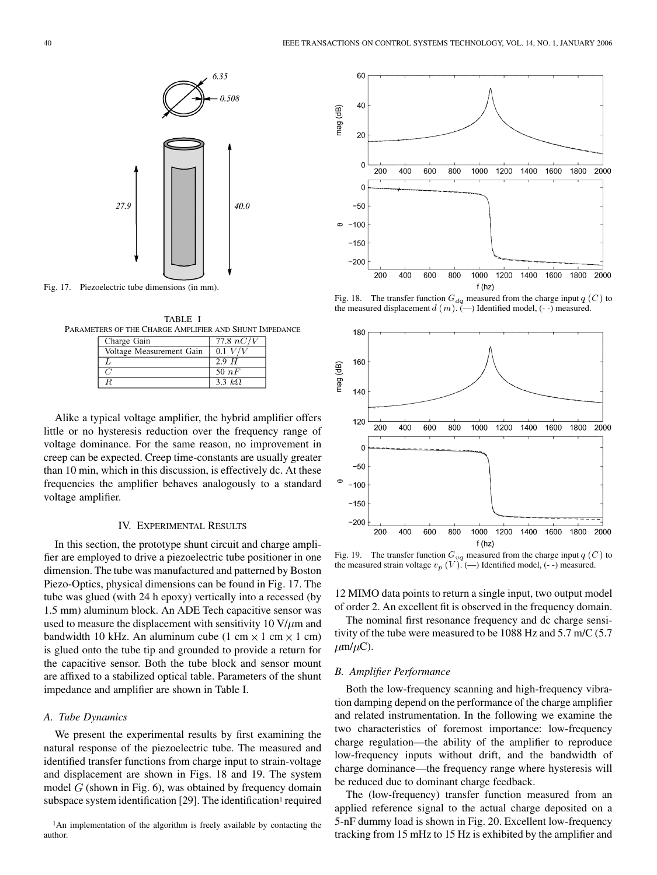

Fig. 17. Piezoelectric tube dimensions (in mm).

TABLE I PARAMETERS OF THE CHARGE AMPLIFIER AND SHUNT IMPEDANCE

| Charge Gain              | 77.8~nC/V            |
|--------------------------|----------------------|
| Voltage Measurement Gain | $0.1 \overline{V/V}$ |
|                          | 29H                  |
|                          | 50 $nF$              |
|                          | $3.3 k\Omega$        |

Alike a typical voltage amplifier, the hybrid amplifier offers little or no hysteresis reduction over the frequency range of voltage dominance. For the same reason, no improvement in creep can be expected. Creep time-constants are usually greater than 10 min, which in this discussion, is effectively dc. At these frequencies the amplifier behaves analogously to a standard voltage amplifier.

### IV. EXPERIMENTAL RESULTS

In this section, the prototype shunt circuit and charge amplifier are employed to drive a piezoelectric tube positioner in one dimension. The tube was manufactured and patterned by Boston Piezo-Optics, physical dimensions can be found in Fig. 17. The tube was glued (with 24 h epoxy) vertically into a recessed (by 1.5 mm) aluminum block. An ADE Tech capacitive sensor was used to measure the displacement with sensitivity 10  $V/\mu$ m and bandwidth 10 kHz. An aluminum cube  $(1 \text{ cm} \times 1 \text{ cm} \times 1 \text{ cm})$ is glued onto the tube tip and grounded to provide a return for the capacitive sensor. Both the tube block and sensor mount are affixed to a stabilized optical table. Parameters of the shunt impedance and amplifier are shown in Table I.

## *A. Tube Dynamics*

We present the experimental results by first examining the natural response of the piezoelectric tube. The measured and identified transfer functions from charge input to strain-voltage and displacement are shown in Figs. 18 and 19. The system model  $G$  (shown in Fig. 6), was obtained by frequency domain subspace system identification  $[29]$  $[29]$ . The identification<sup>1</sup> required

1An implementation of the algorithm is freely available by contacting the author.



Fig. 18. The transfer function  $G_{dq}$  measured from the charge input  $q(C)$  to the measured displacement  $d(m)$ . (--) Identified model, (--) measured.



Fig. 19. The transfer function  $G_{vq}$  measured from the charge input  $q(C)$  to the measured strain voltage  $v_p$  (V). (--) Identified model, (--) measured.

12 MIMO data points to return a single input, two output model of order 2. An excellent fit is observed in the frequency domain.

The nominal first resonance frequency and dc charge sensitivity of the tube were measured to be 1088 Hz and 5.7 m/C (5.7  $\mu$ m/ $\mu$ C).

#### *B. Amplifier Performance*

Both the low-frequency scanning and high-frequency vibration damping depend on the performance of the charge amplifier and related instrumentation. In the following we examine the two characteristics of foremost importance: low-frequency charge regulation—the ability of the amplifier to reproduce low-frequency inputs without drift, and the bandwidth of charge dominance—the frequency range where hysteresis will be reduced due to dominant charge feedback.

The (low-frequency) transfer function measured from an applied reference signal to the actual charge deposited on a 5-nF dummy load is shown in Fig. 20. Excellent low-frequency tracking from 15 mHz to 15 Hz is exhibited by the amplifier and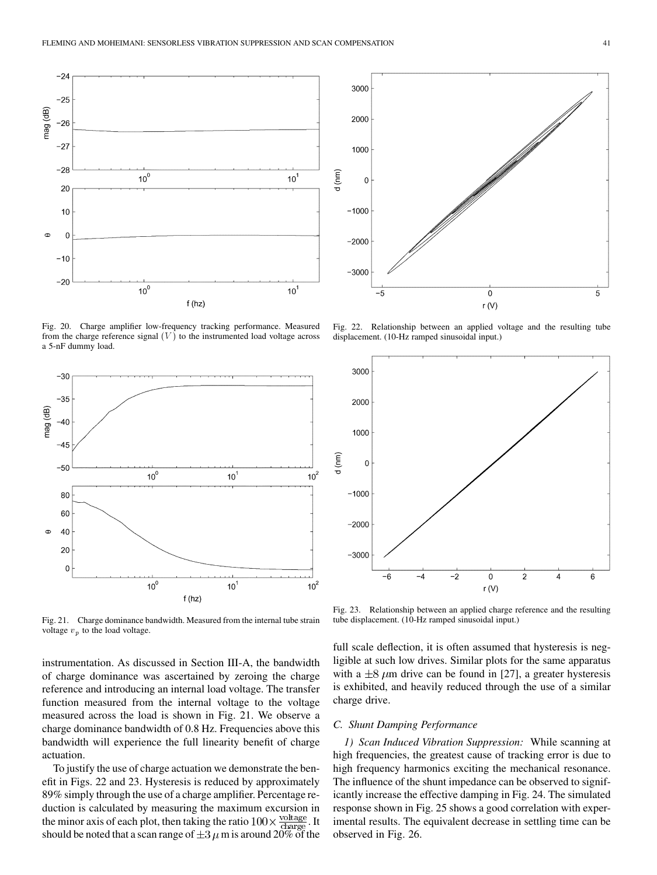

Fig. 20. Charge amplifier low-frequency tracking performance. Measured from the charge reference signal  $(V)$  to the instrumented load voltage across a 5-nF dummy load.



Fig. 21. Charge dominance bandwidth. Measured from the internal tube strain voltage  $v_p$  to the load voltage.

instrumentation. As discussed in Section III-A, the bandwidth of charge dominance was ascertained by zeroing the charge reference and introducing an internal load voltage. The transfer function measured from the internal voltage to the voltage measured across the load is shown in Fig. 21. We observe a charge dominance bandwidth of 0.8 Hz. Frequencies above this bandwidth will experience the full linearity benefit of charge actuation.

To justify the use of charge actuation we demonstrate the benefit in Figs. 22 and 23. Hysteresis is reduced by approximately 89% simply through the use of a charge amplifier. Percentage reduction is calculated by measuring the maximum excursion in the minor axis of each plot, then taking the ratio  $100 \times \frac{\text{voltage}}{\text{charge}}$ . It should be noted that a scan range of  $\pm 3 \mu$  m is around 20% of the



Fig. 22. Relationship between an applied voltage and the resulting tube displacement. (10-Hz ramped sinusoidal input.)



Fig. 23. Relationship between an applied charge reference and the resulting tube displacement. (10-Hz ramped sinusoidal input.)

full scale deflection, it is often assumed that hysteresis is negligible at such low drives. Similar plots for the same apparatus with a  $\pm 8$   $\mu$ m drive can be found in [[27\]](#page-11-0), a greater hysteresis is exhibited, and heavily reduced through the use of a similar charge drive.

#### *C. Shunt Damping Performance*

*1) Scan Induced Vibration Suppression:* While scanning at high frequencies, the greatest cause of tracking error is due to high frequency harmonics exciting the mechanical resonance. The influence of the shunt impedance can be observed to significantly increase the effective damping in Fig. 24. The simulated response shown in Fig. 25 shows a good correlation with experimental results. The equivalent decrease in settling time can be observed in Fig. 26.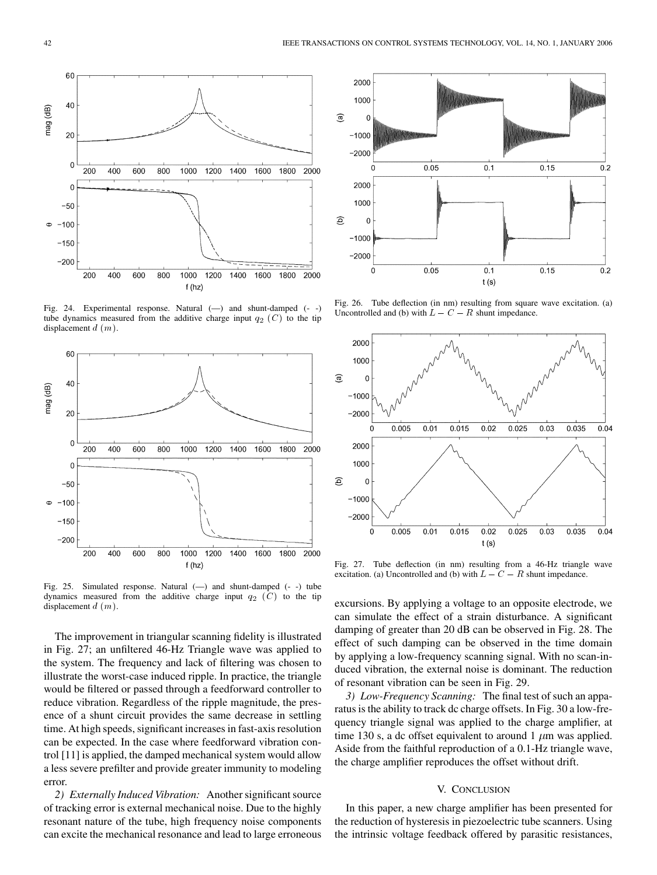

Fig. 24. Experimental response. Natural (—) and shunt-damped (- -) tube dynamics measured from the additive charge input  $q_2$  (C) to the tip displacement  $d(m)$ .



Fig. 25. Simulated response. Natural (—) and shunt-damped (- -) tube dynamics measured from the additive charge input  $q_2$  (C) to the tip displacement  $d(m)$ .

The improvement in triangular scanning fidelity is illustrated in Fig. 27; an unfiltered 46-Hz Triangle wave was applied to the system. The frequency and lack of filtering was chosen to illustrate the worst-case induced ripple. In practice, the triangle would be filtered or passed through a feedforward controller to reduce vibration. Regardless of the ripple magnitude, the presence of a shunt circuit provides the same decrease in settling time. At high speeds, significant increases in fast-axis resolution can be expected. In the case where feedforward vibration control [[11\]](#page-10-0) is applied, the damped mechanical system would allow a less severe prefilter and provide greater immunity to modeling error.

*2) Externally Induced Vibration:* Another significant source of tracking error is external mechanical noise. Due to the highly resonant nature of the tube, high frequency noise components can excite the mechanical resonance and lead to large erroneous



Fig. 26. Tube deflection (in nm) resulting from square wave excitation. (a)  $t$  (s)<br>Fig. 26. Tube deflection (in nm) resulting from square<br>Uncontrolled and (b) with  $L - C - R$  shunt impedance.



Fig. 27. Tube deflection (in nm) resulting from a 46-Hz triangle wave t (s)<br>Fig. 27. Tube deflection (in nm) resulting from a 46-Hz triangle<br>excitation. (a) Uncontrolled and (b) with  $L - C - R$  shunt impedance.

excursions. By applying a voltage to an opposite electrode, we can simulate the effect of a strain disturbance. A significant damping of greater than 20 dB can be observed in Fig. 28. The effect of such damping can be observed in the time domain by applying a low-frequency scanning signal. With no scan-induced vibration, the external noise is dominant. The reduction of resonant vibration can be seen in Fig. 29.

*3) Low-Frequency Scanning:* The final test of such an apparatus is the ability to track dc charge offsets. In Fig. 30 a low-frequency triangle signal was applied to the charge amplifier, at time 130 s, a dc offset equivalent to around 1  $\mu$ m was applied. Aside from the faithful reproduction of a 0.1-Hz triangle wave, the charge amplifier reproduces the offset without drift.

## V. CONCLUSION

In this paper, a new charge amplifier has been presented for the reduction of hysteresis in piezoelectric tube scanners. Using the intrinsic voltage feedback offered by parasitic resistances,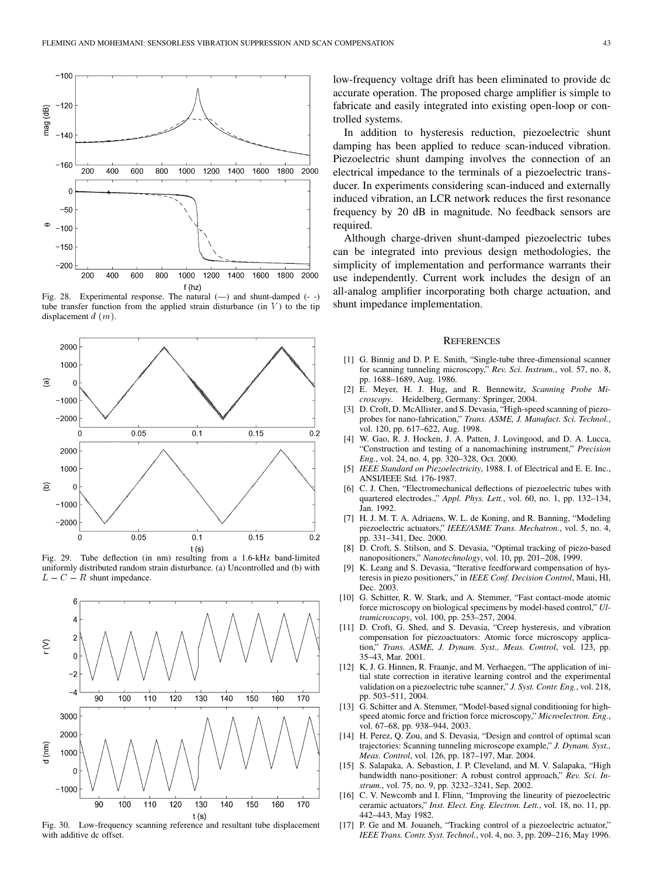<span id="page-10-0"></span>

Fig. 28. Experimental response. The natural (—) and shunt-damped (- -) tube transfer function from the applied strain disturbance (in  $V$ ) to the tip displacement  $d(m)$ .



Fig. 29. Tube deflection (in nm) resulting from a 1.6-kHz band-limited uniformly distributed random strain disturbance. (a) Uncontrolled and (b) with Fig. 29. Tube deflection (in uniformly distributed random s<br> $L - C - R$  shunt impedance.



Fig. 30. Low-frequency scanning reference and resultant tube displacement with additive dc offset.

low-frequency voltage drift has been eliminated to provide dc accurate operation. The proposed charge amplifier is simple to fabricate and easily integrated into existing open-loop or controlled systems.

In addition to hysteresis reduction, piezoelectric shunt damping has been applied to reduce scan-induced vibration. Piezoelectric shunt damping involves the connection of an electrical impedance to the terminals of a piezoelectric transducer. In experiments considering scan-induced and externally induced vibration, an LCR network reduces the first resonance frequency by 20 dB in magnitude. No feedback sensors are required.

Although charge-driven shunt-damped piezoelectric tubes can be integrated into previous design methodologies, the simplicity of implementation and performance warrants their use independently. Current work includes the design of an all-analog amplifier incorporating both charge actuation, and shunt impedance implementation.

### **REFERENCES**

- [1] G. Binnig and D. P. E. Smith, "Single-tube three-dimensional scanner for scanning tunneling microscopy," *Rev. Sci. Instrum.*, vol. 57, no. 8, pp. 1688–1689, Aug. 1986.
- [2] E. Meyer, H. J. Hug, and R. Bennewitz, *Scanning Probe Microscopy*. Heidelberg, Germany: Springer, 2004.
- [3] D. Croft, D. McAllister, and S. Devasia, "High-speed scanning of piezoprobes for nano-fabrication," *Trans. ASME, J. Manufact. Sci. Technol.*, vol. 120, pp. 617–622, Aug. 1998.
- [4] W. Gao, R. J. Hocken, J. A. Patten, J. Lovingood, and D. A. Lucca, "Construction and testing of a nanomachining instrument," *Precision Eng.*, vol. 24, no. 4, pp. 320–328, Oct. 2000.
- [5] *IEEE Standard on Piezoelectricity*, 1988. I. of Electrical and E. E. Inc., ANSI/IEEE Std. 176-1987.
- [6] C. J. Chen, "Electromechanical deflections of piezoelectric tubes with quartered electrodes.," *Appl. Phys. Lett.*, vol. 60, no. 1, pp. 132–134, Jan. 1992.
- [7] H. J. M. T. A. Adriaens, W. L. de Koning, and R. Banning, "Modeling piezoelectric actuators," *IEEE/ASME Trans. Mechatron.*, vol. 5, no. 4, pp. 331–341, Dec. 2000.
- [8] D. Croft, S. Stilson, and S. Devasia, "Optimal tracking of piezo-based nanopositioners," *Nanotechnology*, vol. 10, pp. 201–208, 1999.
- K. Leang and S. Devasia, "Iterative feedforward compensation of hysteresis in piezo positioners," in *IEEE Conf. Decision Control*, Maui, HI, Dec. 2003.
- [10] G. Schitter, R. W. Stark, and A. Stemmer, "Fast contact-mode atomic force microscopy on biological specimens by model-based control," *Ultramicroscopy*, vol. 100, pp. 253–257, 2004.
- [11] D. Croft, G. Shed, and S. Devasia, "Creep hysteresis, and vibration compensation for piezoactuators: Atomic force microscopy application," *Trans. ASME, J. Dynam. Syst., Meas. Control*, vol. 123, pp. 35–43, Mar. 2001.
- [12] K. J. G. Hinnen, R. Fraanje, and M. Verhaegen, "The application of initial state correction in iterative learning control and the experimental validation on a piezoelectric tube scanner," *J. Syst. Contr. Eng.*, vol. 218, pp. 503–511, 2004.
- [13] G. Schitter and A. Stemmer, "Model-based signal conditioning for highspeed atomic force and friction force microscopy," *Microelectron. Eng.*, vol. 67–68, pp. 938–944, 2003.
- [14] H. Perez, Q. Zou, and S. Devasia, "Design and control of optimal scan trajectories: Scanning tunneling microscope example," *J. Dynam. Syst., Meas. Control*, vol. 126, pp. 187–197, Mar. 2004.
- [15] S. Salapaka, A. Sebastion, J. P. Cleveland, and M. V. Salapaka, "High bandwidth nano-positioner: A robust control approach," *Rev. Sci. Instrum.*, vol. 75, no. 9, pp. 3232–3241, Sep. 2002.
- [16] C. V. Newcomb and I. Flinn, "Improving the linearity of piezoelectric ceramic actuators," *Inst. Elect. Eng. Electron. Lett.*, vol. 18, no. 11, pp. 442–443, May 1982.
- [17] P. Ge and M. Jouaneh, "Tracking control of a piezoelectric actuator," *IEEE Trans. Contr. Syst. Technol.*, vol. 4, no. 3, pp. 209–216, May 1996.